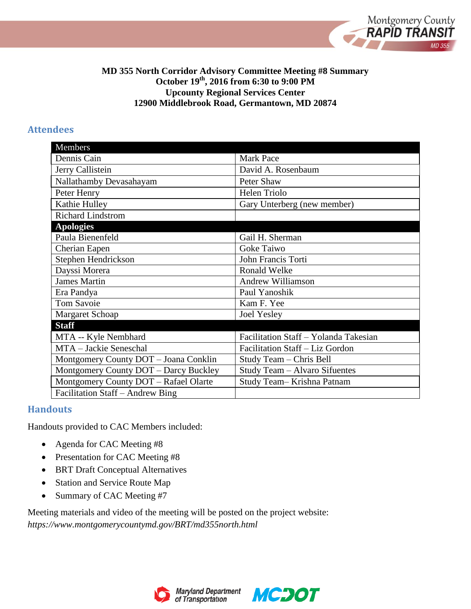

### **MD 355 North Corridor Advisory Committee Meeting #8 Summary October 19th, 2016 from 6:30 to 9:00 PM Upcounty Regional Services Center 12900 Middlebrook Road, Germantown, MD 20874**

#### **Attendees**

| Members                               |                                       |
|---------------------------------------|---------------------------------------|
| Dennis Cain                           | <b>Mark Pace</b>                      |
| Jerry Callistein                      | David A. Rosenbaum                    |
| Nallathamby Devasahayam               | Peter Shaw                            |
| Peter Henry                           | Helen Triolo                          |
| Kathie Hulley                         | Gary Unterberg (new member)           |
| <b>Richard Lindstrom</b>              |                                       |
| <b>Apologies</b>                      |                                       |
| Paula Bienenfeld                      | Gail H. Sherman                       |
| Cherian Eapen                         | Goke Taiwo                            |
| Stephen Hendrickson                   | John Francis Torti                    |
| Dayssi Morera                         | Ronald Welke                          |
| <b>James Martin</b>                   | <b>Andrew Williamson</b>              |
| Era Pandya                            | Paul Yanoshik                         |
| <b>Tom Savoie</b>                     | Kam F. Yee                            |
| Margaret Schoap                       | <b>Joel Yesley</b>                    |
| <b>Staff</b>                          |                                       |
| MTA -- Kyle Nembhard                  | Facilitation Staff - Yolanda Takesian |
| MTA - Jackie Seneschal                | Facilitation Staff - Liz Gordon       |
| Montgomery County DOT - Joana Conklin | Study Team - Chris Bell               |
| Montgomery County DOT - Darcy Buckley | Study Team - Alvaro Sifuentes         |
| Montgomery County DOT - Rafael Olarte | Study Team-Krishna Patnam             |
| Facilitation Staff – Andrew Bing      |                                       |

### **Handouts**

Handouts provided to CAC Members included:

- Agenda for CAC Meeting #8
- Presentation for CAC Meeting #8
- BRT Draft Conceptual Alternatives
- Station and Service Route Map
- Summary of CAC Meeting #7

Meeting materials and video of the meeting will be posted on the project website: *https://www.montgomerycountymd.gov/BRT/md355north.html* 



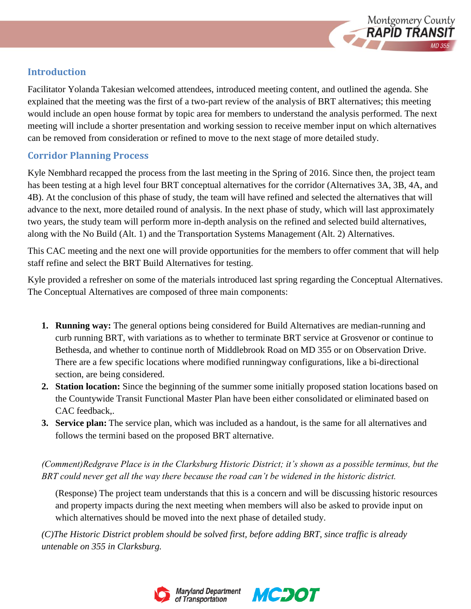

# **Introduction**

Facilitator Yolanda Takesian welcomed attendees, introduced meeting content, and outlined the agenda. She explained that the meeting was the first of a two-part review of the analysis of BRT alternatives; this meeting would include an open house format by topic area for members to understand the analysis performed. The next meeting will include a shorter presentation and working session to receive member input on which alternatives can be removed from consideration or refined to move to the next stage of more detailed study.

# **Corridor Planning Process**

Kyle Nembhard recapped the process from the last meeting in the Spring of 2016. Since then, the project team has been testing at a high level four BRT conceptual alternatives for the corridor (Alternatives 3A, 3B, 4A, and 4B). At the conclusion of this phase of study, the team will have refined and selected the alternatives that will advance to the next, more detailed round of analysis. In the next phase of study, which will last approximately two years, the study team will perform more in-depth analysis on the refined and selected build alternatives, along with the No Build (Alt. 1) and the Transportation Systems Management (Alt. 2) Alternatives.

This CAC meeting and the next one will provide opportunities for the members to offer comment that will help staff refine and select the BRT Build Alternatives for testing.

Kyle provided a refresher on some of the materials introduced last spring regarding the Conceptual Alternatives. The Conceptual Alternatives are composed of three main components:

- **1. Running way:** The general options being considered for Build Alternatives are median-running and curb running BRT, with variations as to whether to terminate BRT service at Grosvenor or continue to Bethesda, and whether to continue north of Middlebrook Road on MD 355 or on Observation Drive. There are a few specific locations where modified runningway configurations, like a bi-directional section, are being considered.
- **2. Station location:** Since the beginning of the summer some initially proposed station locations based on the Countywide Transit Functional Master Plan have been either consolidated or eliminated based on CAC feedback,.
- **3. Service plan:** The service plan, which was included as a handout, is the same for all alternatives and follows the termini based on the proposed BRT alternative.

*(Comment)Redgrave Place is in the Clarksburg Historic District; it's shown as a possible terminus, but the BRT could never get all the way there because the road can't be widened in the historic district.* 

(Response) The project team understands that this is a concern and will be discussing historic resources and property impacts during the next meeting when members will also be asked to provide input on which alternatives should be moved into the next phase of detailed study.

*(C)The Historic District problem should be solved first, before adding BRT, since traffic is already untenable on 355 in Clarksburg.*



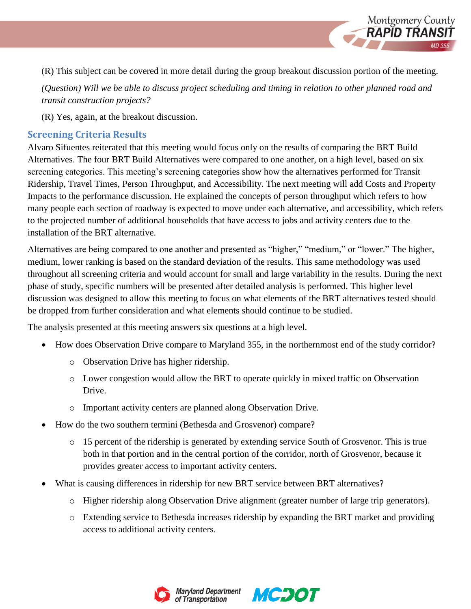

Montgomery County<br>**RAPID TRANSIT** 

*(Question) Will we be able to discuss project scheduling and timing in relation to other planned road and transit construction projects?* 

(R) Yes, again, at the breakout discussion.

## **Screening Criteria Results**

Alvaro Sifuentes reiterated that this meeting would focus only on the results of comparing the BRT Build Alternatives. The four BRT Build Alternatives were compared to one another, on a high level, based on six screening categories. This meeting's screening categories show how the alternatives performed for Transit Ridership, Travel Times, Person Throughput, and Accessibility. The next meeting will add Costs and Property Impacts to the performance discussion. He explained the concepts of person throughput which refers to how many people each section of roadway is expected to move under each alternative, and accessibility, which refers to the projected number of additional households that have access to jobs and activity centers due to the installation of the BRT alternative.

Alternatives are being compared to one another and presented as "higher," "medium," or "lower." The higher, medium, lower ranking is based on the standard deviation of the results. This same methodology was used throughout all screening criteria and would account for small and large variability in the results. During the next phase of study, specific numbers will be presented after detailed analysis is performed. This higher level discussion was designed to allow this meeting to focus on what elements of the BRT alternatives tested should be dropped from further consideration and what elements should continue to be studied.

The analysis presented at this meeting answers six questions at a high level.

- How does Observation Drive compare to Maryland 355, in the northernmost end of the study corridor?
	- o Observation Drive has higher ridership.
	- o Lower congestion would allow the BRT to operate quickly in mixed traffic on Observation Drive.
	- o Important activity centers are planned along Observation Drive.
- How do the two southern termini (Bethesda and Grosvenor) compare?
	- $\circ$  15 percent of the ridership is generated by extending service South of Grosvenor. This is true both in that portion and in the central portion of the corridor, north of Grosvenor, because it provides greater access to important activity centers.
- What is causing differences in ridership for new BRT service between BRT alternatives?
	- o Higher ridership along Observation Drive alignment (greater number of large trip generators).
	- o Extending service to Bethesda increases ridership by expanding the BRT market and providing access to additional activity centers.



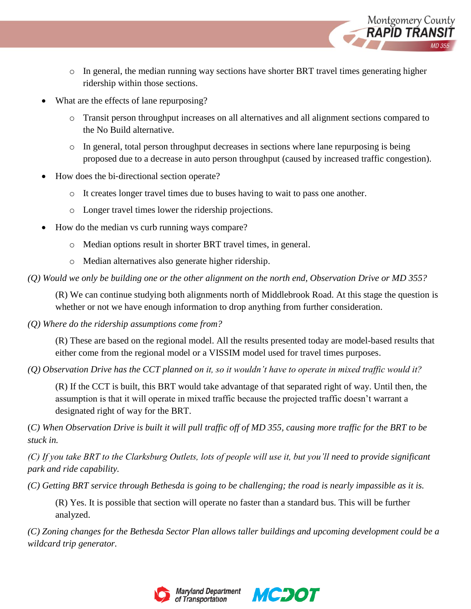

- o In general, the median running way sections have shorter BRT travel times generating higher ridership within those sections.
- What are the effects of lane repurposing?
	- o Transit person throughput increases on all alternatives and all alignment sections compared to the No Build alternative.
	- o In general, total person throughput decreases in sections where lane repurposing is being proposed due to a decrease in auto person throughput (caused by increased traffic congestion).
- How does the bi-directional section operate?
	- o It creates longer travel times due to buses having to wait to pass one another.
	- o Longer travel times lower the ridership projections.
- How do the median vs curb running ways compare?
	- o Median options result in shorter BRT travel times, in general.
	- o Median alternatives also generate higher ridership.

*(Q) Would we only be building one or the other alignment on the north end, Observation Drive or MD 355?*

(R) We can continue studying both alignments north of Middlebrook Road. At this stage the question is whether or not we have enough information to drop anything from further consideration.

*(Q) Where do the ridership assumptions come from?*

(R) These are based on the regional model. All the results presented today are model-based results that either come from the regional model or a VISSIM model used for travel times purposes.

*(Q) Observation Drive has the CCT planned on it, so it wouldn't have to operate in mixed traffic would it?*

(R) If the CCT is built, this BRT would take advantage of that separated right of way. Until then, the assumption is that it will operate in mixed traffic because the projected traffic doesn't warrant a designated right of way for the BRT.

(*C) When Observation Drive is built it will pull traffic off of MD 355, causing more traffic for the BRT to be stuck in.* 

*(C) If you take BRT to the Clarksburg Outlets, lots of people will use it, but you'll need to provide significant park and ride capability.* 

*(C) Getting BRT service through Bethesda is going to be challenging; the road is nearly impassible as it is.*

(R) Yes. It is possible that section will operate no faster than a standard bus. This will be further analyzed.

*(C) Zoning changes for the Bethesda Sector Plan allows taller buildings and upcoming development could be a wildcard trip generator.*